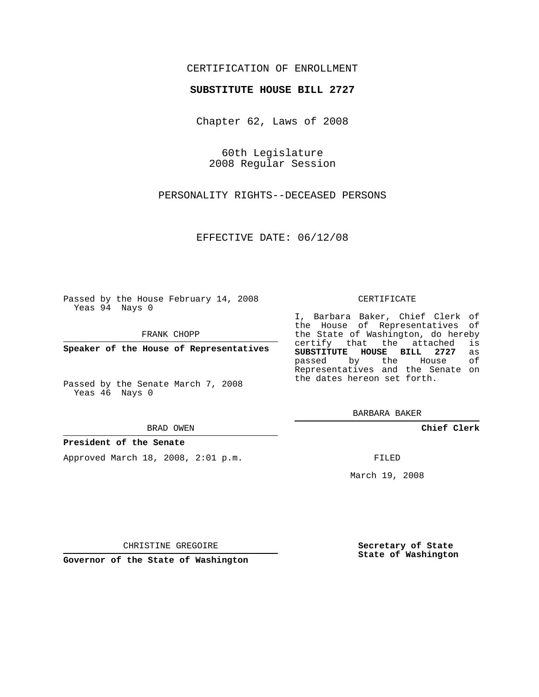### CERTIFICATION OF ENROLLMENT

### **SUBSTITUTE HOUSE BILL 2727**

Chapter 62, Laws of 2008

60th Legislature 2008 Regular Session

PERSONALITY RIGHTS--DECEASED PERSONS

EFFECTIVE DATE: 06/12/08

Passed by the House February 14, 2008 Yeas 94 Nays 0

FRANK CHOPP

**Speaker of the House of Representatives**

Passed by the Senate March 7, 2008 Yeas 46 Nays 0

#### BRAD OWEN

#### **President of the Senate**

Approved March 18, 2008, 2:01 p.m.

#### CERTIFICATE

I, Barbara Baker, Chief Clerk of the House of Representatives of the State of Washington, do hereby<br>certify that the attached is certify that the attached **SUBSTITUTE HOUSE BILL 2727** as passed by the House Representatives and the Senate on the dates hereon set forth.

BARBARA BAKER

**Chief Clerk**

FILED

March 19, 2008

**Secretary of State State of Washington**

CHRISTINE GREGOIRE

**Governor of the State of Washington**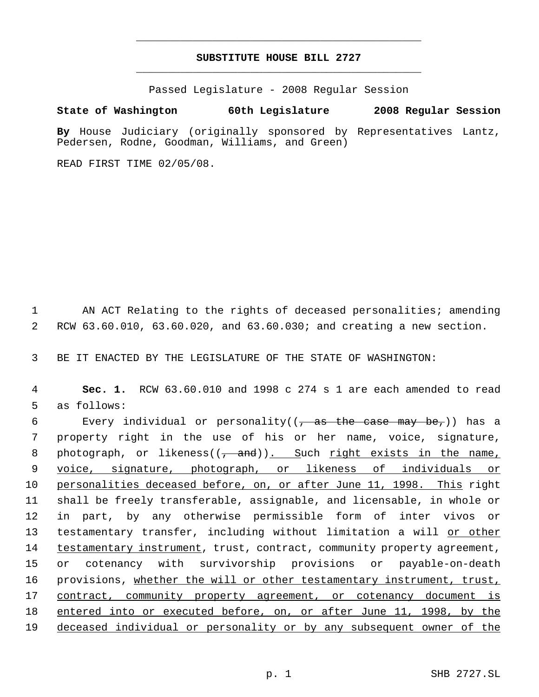# **SUBSTITUTE HOUSE BILL 2727** \_\_\_\_\_\_\_\_\_\_\_\_\_\_\_\_\_\_\_\_\_\_\_\_\_\_\_\_\_\_\_\_\_\_\_\_\_\_\_\_\_\_\_\_\_

\_\_\_\_\_\_\_\_\_\_\_\_\_\_\_\_\_\_\_\_\_\_\_\_\_\_\_\_\_\_\_\_\_\_\_\_\_\_\_\_\_\_\_\_\_

Passed Legislature - 2008 Regular Session

## **State of Washington 60th Legislature 2008 Regular Session**

**By** House Judiciary (originally sponsored by Representatives Lantz, Pedersen, Rodne, Goodman, Williams, and Green)

READ FIRST TIME 02/05/08.

1 AN ACT Relating to the rights of deceased personalities; amending 2 RCW 63.60.010, 63.60.020, and 63.60.030; and creating a new section.

3 BE IT ENACTED BY THE LEGISLATURE OF THE STATE OF WASHINGTON:

 4 **Sec. 1.** RCW 63.60.010 and 1998 c 274 s 1 are each amended to read 5 as follows:

6 Every individual or personality( $(\tau$  as the case may be,)) has a property right in the use of his or her name, voice, signature, 8 photograph, or likeness( $(-$ and)). Such right exists in the name, voice, signature, photograph, or likeness of individuals or personalities deceased before, on, or after June 11, 1998. This right shall be freely transferable, assignable, and licensable, in whole or in part, by any otherwise permissible form of inter vivos or 13 testamentary transfer, including without limitation a will or other 14 testamentary instrument, trust, contract, community property agreement, or cotenancy with survivorship provisions or payable-on-death 16 provisions, whether the will or other testamentary instrument, trust, contract, community property agreement, or cotenancy document is entered into or executed before, on, or after June 11, 1998, by the deceased individual or personality or by any subsequent owner of the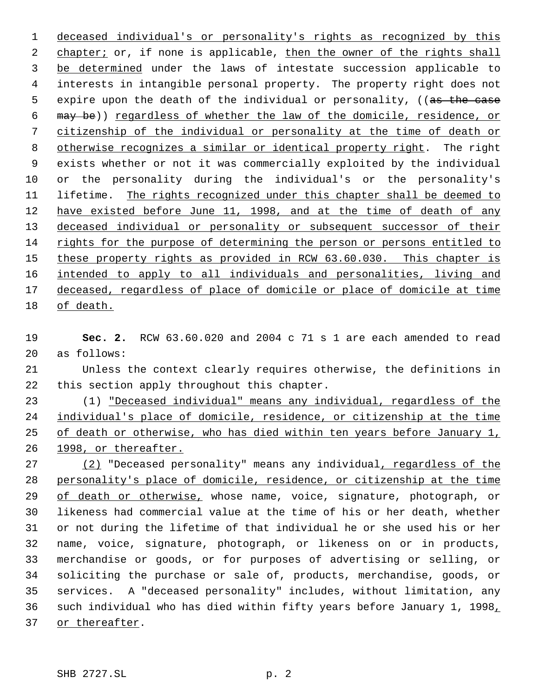deceased individual's or personality's rights as recognized by this 2 chapter; or, if none is applicable, then the owner of the rights shall be determined under the laws of intestate succession applicable to interests in intangible personal property. The property right does not 5 expire upon the death of the individual or personality, ((as the case may be)) regardless of whether the law of the domicile, residence, or citizenship of the individual or personality at the time of death or 8 otherwise recognizes a similar or identical property right. The right exists whether or not it was commercially exploited by the individual or the personality during the individual's or the personality's 11 lifetime. The rights recognized under this chapter shall be deemed to 12 have existed before June 11, 1998, and at the time of death of any 13 deceased individual or personality or subsequent successor of their rights for the purpose of determining the person or persons entitled to 15 these property rights as provided in RCW 63.60.030. This chapter is intended to apply to all individuals and personalities, living and 17 deceased, regardless of place of domicile or place of domicile at time of death.

- **Sec. 2.** RCW 63.60.020 and 2004 c 71 s 1 are each amended to read as follows:
- Unless the context clearly requires otherwise, the definitions in this section apply throughout this chapter.

 (1) "Deceased individual" means any individual, regardless of the individual's place of domicile, residence, or citizenship at the time 25 of death or otherwise, who has died within ten years before January 1, 1998, or thereafter.

27 (2) "Deceased personality" means any individual, regardless of the personality's place of domicile, residence, or citizenship at the time 29 of death or otherwise, whose name, voice, signature, photograph, or likeness had commercial value at the time of his or her death, whether or not during the lifetime of that individual he or she used his or her name, voice, signature, photograph, or likeness on or in products, merchandise or goods, or for purposes of advertising or selling, or soliciting the purchase or sale of, products, merchandise, goods, or services. A "deceased personality" includes, without limitation, any such individual who has died within fifty years before January 1, 1998, 37 or thereafter.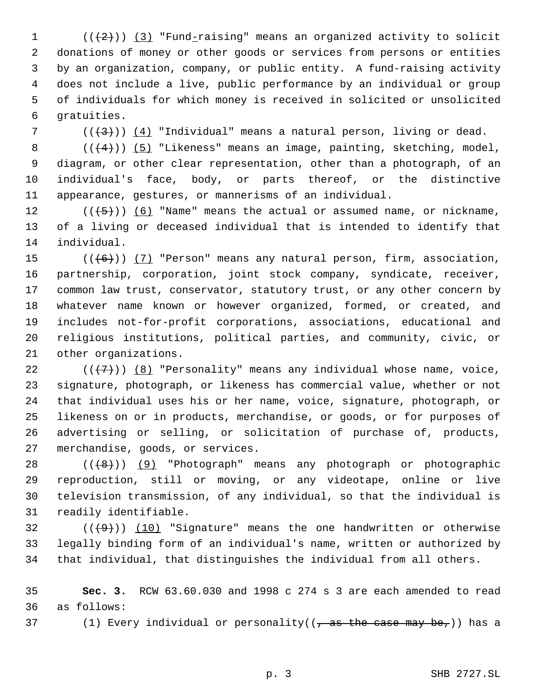$((+2))$   $(3)$  "Fund-raising" means an organized activity to solicit donations of money or other goods or services from persons or entities by an organization, company, or public entity. A fund-raising activity does not include a live, public performance by an individual or group of individuals for which money is received in solicited or unsolicited gratuities.

7 ( $(\frac{4}{3})$ )  $(4)$  "Individual" means a natural person, living or dead.

 $((+4))$   $(5)$  "Likeness" means an image, painting, sketching, model, diagram, or other clear representation, other than a photograph, of an individual's face, body, or parts thereof, or the distinctive appearance, gestures, or mannerisms of an individual.

12  $((\langle 5 \rangle)(6)$  "Name" means the actual or assumed name, or nickname, of a living or deceased individual that is intended to identify that individual.

 $((+6))$   $(7)$  "Person" means any natural person, firm, association, partnership, corporation, joint stock company, syndicate, receiver, common law trust, conservator, statutory trust, or any other concern by whatever name known or however organized, formed, or created, and includes not-for-profit corporations, associations, educational and religious institutions, political parties, and community, civic, or other organizations.

 $((+7))$   $(8)$  "Personality" means any individual whose name, voice, signature, photograph, or likeness has commercial value, whether or not that individual uses his or her name, voice, signature, photograph, or likeness on or in products, merchandise, or goods, or for purposes of advertising or selling, or solicitation of purchase of, products, merchandise, goods, or services.

28 (((8)) (9) "Photograph" means any photograph or photographic reproduction, still or moving, or any videotape, online or live television transmission, of any individual, so that the individual is readily identifiable.

32  $((+9))$  (10) "Signature" means the one handwritten or otherwise legally binding form of an individual's name, written or authorized by that individual, that distinguishes the individual from all others.

 **Sec. 3.** RCW 63.60.030 and 1998 c 274 s 3 are each amended to read as follows:

37 (1) Every individual or personality( $(\tau$  as the case may be,)) has a

p. 3 SHB 2727.SL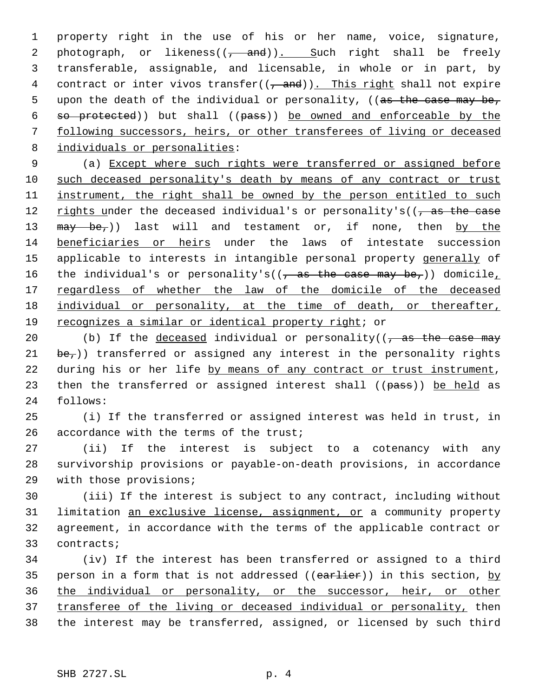1 property right in the use of his or her name, voice, signature, 2 photograph, or likeness $((\frac{1}{2} + \text{and}))$ . Such right shall be freely 3 transferable, assignable, and licensable, in whole or in part, by 4 contract or inter vivos transfer( $(\frac{1}{2}$  and)). This right shall not expire 5 upon the death of the individual or personality, ((as the case may be, 6 so protected)) but shall ((pass)) be owned and enforceable by the 7 following successors, heirs, or other transferees of living or deceased 8 individuals or personalities:

 9 (a) Except where such rights were transferred or assigned before 10 such deceased personality's death by means of any contract or trust 11 instrument, the right shall be owned by the person entitled to such 12 rights under the deceased individual's or personality's( $(-$ as the case 13 may be,)) last will and testament or, if none, then by the 14 beneficiaries or heirs under the laws of intestate succession 15 applicable to interests in intangible personal property generally of 16 the individual's or personality's( $(\frac{1}{10})$  as the case may be,)) domicile, 17 regardless of whether the law of the domicile of the deceased 18 individual or personality, at the time of death, or thereafter, 19 recognizes a similar or identical property right; or

20 (b) If the deceased individual or personality( $\frac{1}{1}$  as the case may 21  $be_{\tau}$ )) transferred or assigned any interest in the personality rights 22 during his or her life by means of any contract or trust instrument, 23 then the transferred or assigned interest shall ((pass)) be held as 24 follows:

25 (i) If the transferred or assigned interest was held in trust, in 26 accordance with the terms of the trust;

27 (ii) If the interest is subject to a cotenancy with any 28 survivorship provisions or payable-on-death provisions, in accordance 29 with those provisions;

 (iii) If the interest is subject to any contract, including without 31 limitation an exclusive license, assignment, or a community property agreement, in accordance with the terms of the applicable contract or contracts;

34 (iv) If the interest has been transferred or assigned to a third 35 person in a form that is not addressed (( $earlier$ )) in this section, by 36 the individual or personality, or the successor, heir, or other 37 transferee of the living or deceased individual or personality, then 38 the interest may be transferred, assigned, or licensed by such third